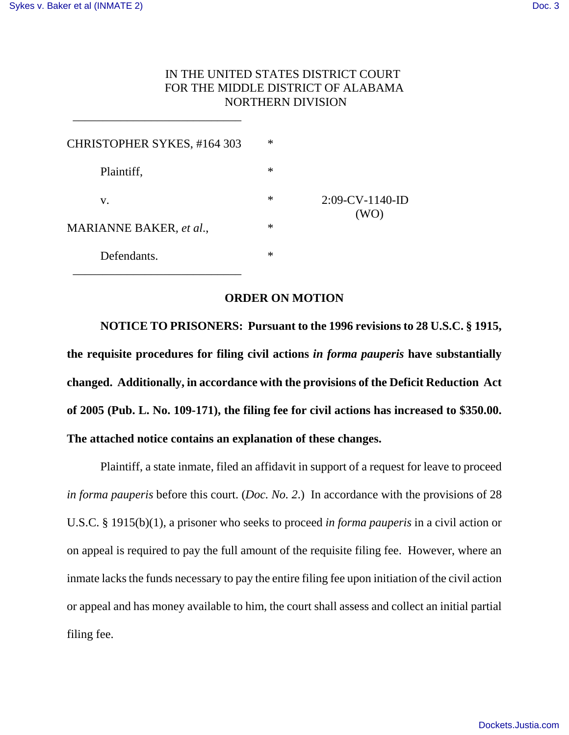$\frac{1}{2}$  , and the set of the set of the set of the set of the set of the set of the set of the set of the set of the set of the set of the set of the set of the set of the set of the set of the set of the set of the set

## IN THE UNITED STATES DISTRICT COURT FOR THE MIDDLE DISTRICT OF ALABAMA NORTHERN DIVISION

| <b>CHRISTOPHER SYKES, #164 303</b> | $\ast$ |                    |
|------------------------------------|--------|--------------------|
| Plaintiff,                         | ∗      |                    |
| V.                                 | ∗      | $2:09$ -CV-1140-ID |
| MARIANNE BAKER, et al.,            | $\ast$ | (WO)               |
| Defendants.                        | $\ast$ |                    |
|                                    |        |                    |

## **ORDER ON MOTION**

**NOTICE TO PRISONERS: Pursuant to the 1996 revisions to 28 U.S.C. § 1915, the requisite procedures for filing civil actions** *in forma pauperis* **have substantially changed. Additionally, in accordance with the provisions of the Deficit Reduction Act of 2005 (Pub. L. No. 109-171), the filing fee for civil actions has increased to \$350.00. The attached notice contains an explanation of these changes.**

Plaintiff, a state inmate, filed an affidavit in support of a request for leave to proceed *in forma pauperis* before this court. (*Doc. No. 2*.) In accordance with the provisions of 28 U.S.C. § 1915(b)(1), a prisoner who seeks to proceed *in forma pauperis* in a civil action or on appeal is required to pay the full amount of the requisite filing fee. However, where an inmate lacks the funds necessary to pay the entire filing fee upon initiation of the civil action or appeal and has money available to him, the court shall assess and collect an initial partial filing fee.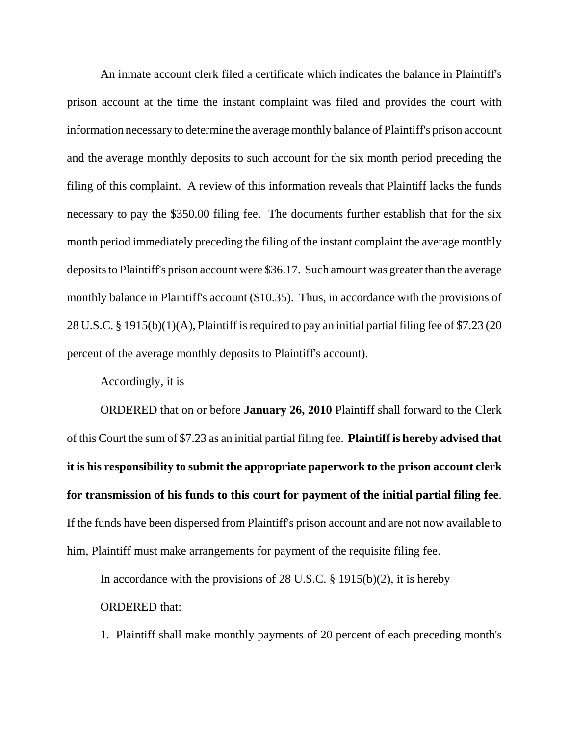An inmate account clerk filed a certificate which indicates the balance in Plaintiff's prison account at the time the instant complaint was filed and provides the court with information necessary to determine the average monthly balance of Plaintiff's prison account and the average monthly deposits to such account for the six month period preceding the filing of this complaint. A review of this information reveals that Plaintiff lacks the funds necessary to pay the \$350.00 filing fee. The documents further establish that for the six month period immediately preceding the filing of the instant complaint the average monthly deposits to Plaintiff's prison account were \$36.17. Such amount was greater than the average monthly balance in Plaintiff's account (\$10.35). Thus, in accordance with the provisions of 28 U.S.C. § 1915(b)(1)(A), Plaintiff is required to pay an initial partial filing fee of \$7.23 (20 percent of the average monthly deposits to Plaintiff's account).

Accordingly, it is

ORDERED that on or before **January 26, 2010** Plaintiff shall forward to the Clerk of this Court the sum of \$7.23 as an initial partial filing fee. **Plaintiff is hereby advised that it is his responsibility to submit the appropriate paperwork to the prison account clerk for transmission of his funds to this court for payment of the initial partial filing fee**. If the funds have been dispersed from Plaintiff's prison account and are not now available to him, Plaintiff must make arrangements for payment of the requisite filing fee.

In accordance with the provisions of 28 U.S.C.  $\S$  1915(b)(2), it is hereby ORDERED that:

1. Plaintiff shall make monthly payments of 20 percent of each preceding month's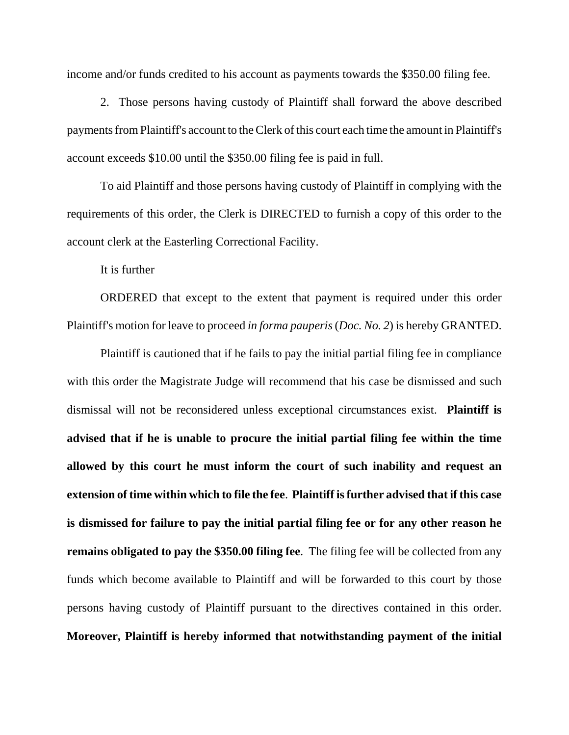income and/or funds credited to his account as payments towards the \$350.00 filing fee.

2. Those persons having custody of Plaintiff shall forward the above described payments from Plaintiff's account to the Clerk of this court each time the amount in Plaintiff's account exceeds \$10.00 until the \$350.00 filing fee is paid in full.

To aid Plaintiff and those persons having custody of Plaintiff in complying with the requirements of this order, the Clerk is DIRECTED to furnish a copy of this order to the account clerk at the Easterling Correctional Facility.

It is further

ORDERED that except to the extent that payment is required under this order Plaintiff's motion for leave to proceed *in forma pauperis* (*Doc. No. 2*) is hereby GRANTED.

Plaintiff is cautioned that if he fails to pay the initial partial filing fee in compliance with this order the Magistrate Judge will recommend that his case be dismissed and such dismissal will not be reconsidered unless exceptional circumstances exist. **Plaintiff is advised that if he is unable to procure the initial partial filing fee within the time allowed by this court he must inform the court of such inability and request an extension of time within which to file the fee**. **Plaintiff is further advised that if this case is dismissed for failure to pay the initial partial filing fee or for any other reason he remains obligated to pay the \$350.00 filing fee**. The filing fee will be collected from any funds which become available to Plaintiff and will be forwarded to this court by those persons having custody of Plaintiff pursuant to the directives contained in this order. **Moreover, Plaintiff is hereby informed that notwithstanding payment of the initial**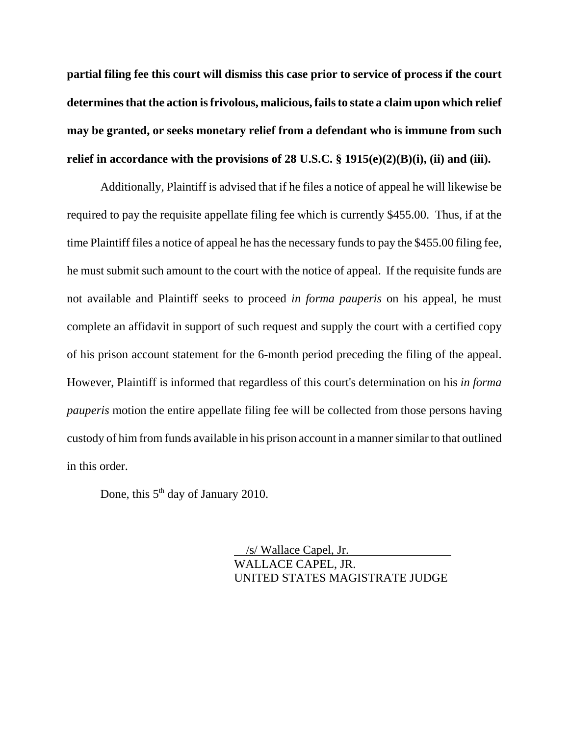**partial filing fee this court will dismiss this case prior to service of process if the court determines that the action is frivolous, malicious, fails to state a claim upon which relief may be granted, or seeks monetary relief from a defendant who is immune from such relief in accordance with the provisions of 28 U.S.C. § 1915(e)(2)(B)(i), (ii) and (iii).**

Additionally, Plaintiff is advised that if he files a notice of appeal he will likewise be required to pay the requisite appellate filing fee which is currently \$455.00. Thus, if at the time Plaintiff files a notice of appeal he has the necessary funds to pay the \$455.00 filing fee, he must submit such amount to the court with the notice of appeal. If the requisite funds are not available and Plaintiff seeks to proceed *in forma pauperis* on his appeal, he must complete an affidavit in support of such request and supply the court with a certified copy of his prison account statement for the 6-month period preceding the filing of the appeal. However, Plaintiff is informed that regardless of this court's determination on his *in forma pauperis* motion the entire appellate filing fee will be collected from those persons having custody of him from funds available in his prison account in a manner similar to that outlined in this order.

Done, this  $5<sup>th</sup>$  day of January 2010.

 /s/ Wallace Capel, Jr. WALLACE CAPEL, JR. UNITED STATES MAGISTRATE JUDGE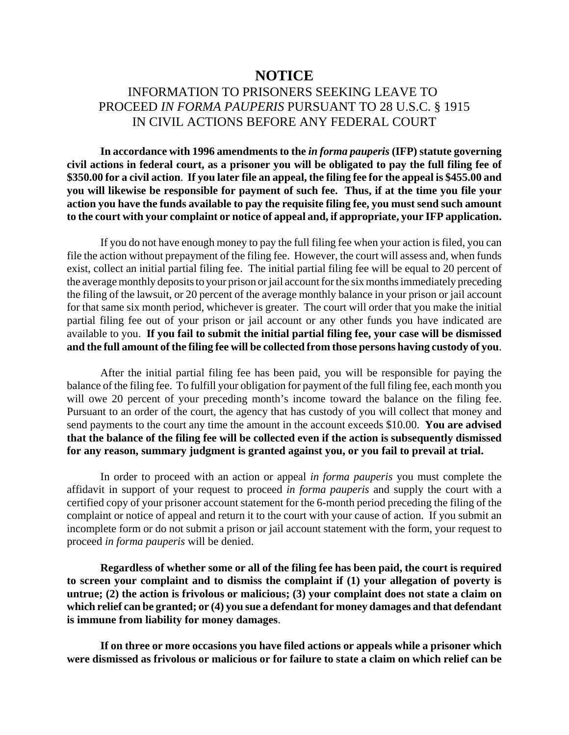## **NOTICE**

## INFORMATION TO PRISONERS SEEKING LEAVE TO PROCEED *IN FORMA PAUPERIS* PURSUANT TO 28 U.S.C. § 1915 IN CIVIL ACTIONS BEFORE ANY FEDERAL COURT

**In accordance with 1996 amendments to the** *in forma pauperis* **(IFP) statute governing civil actions in federal court, as a prisoner you will be obligated to pay the full filing fee of \$350.00 for a civil action**. **If you later file an appeal, the filing fee for the appeal is \$455.00 and you will likewise be responsible for payment of such fee. Thus, if at the time you file your action you have the funds available to pay the requisite filing fee, you must send such amount to the court with your complaint or notice of appeal and, if appropriate, your IFP application.**

If you do not have enough money to pay the full filing fee when your action is filed, you can file the action without prepayment of the filing fee. However, the court will assess and, when funds exist, collect an initial partial filing fee. The initial partial filing fee will be equal to 20 percent of the average monthly deposits to your prison or jail account for the six months immediately preceding the filing of the lawsuit, or 20 percent of the average monthly balance in your prison or jail account for that same six month period, whichever is greater. The court will order that you make the initial partial filing fee out of your prison or jail account or any other funds you have indicated are available to you. **If you fail to submit the initial partial filing fee, your case will be dismissed and the full amount of the filing fee will be collected from those persons having custody of you**.

After the initial partial filing fee has been paid, you will be responsible for paying the balance of the filing fee. To fulfill your obligation for payment of the full filing fee, each month you will owe 20 percent of your preceding month's income toward the balance on the filing fee. Pursuant to an order of the court, the agency that has custody of you will collect that money and send payments to the court any time the amount in the account exceeds \$10.00. **You are advised that the balance of the filing fee will be collected even if the action is subsequently dismissed for any reason, summary judgment is granted against you, or you fail to prevail at trial.** 

In order to proceed with an action or appeal *in forma pauperis* you must complete the affidavit in support of your request to proceed *in forma pauperis* and supply the court with a certified copy of your prisoner account statement for the 6-month period preceding the filing of the complaint or notice of appeal and return it to the court with your cause of action. If you submit an incomplete form or do not submit a prison or jail account statement with the form, your request to proceed *in forma pauperis* will be denied.

**Regardless of whether some or all of the filing fee has been paid, the court is required to screen your complaint and to dismiss the complaint if (1) your allegation of poverty is untrue; (2) the action is frivolous or malicious; (3) your complaint does not state a claim on which relief can be granted; or (4) you sue a defendant for money damages and that defendant is immune from liability for money damages**.

**If on three or more occasions you have filed actions or appeals while a prisoner which were dismissed as frivolous or malicious or for failure to state a claim on which relief can be**